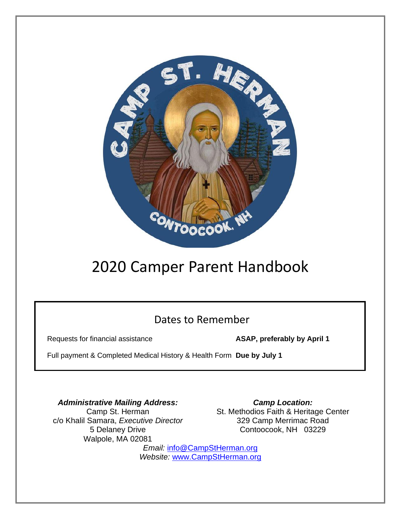

# 2020 Camper Parent Handbook

### Dates to Remember

Requests for financial assistance **ASAP, preferably by April 1**

Full payment & Completed Medical History & Health Form **Due by July 1**

*Administrative Mailing Address:* Camp St. Herman c/o Khalil Samara, *Executive Director* 5 Delaney Drive Walpole, MA 02081

*Camp Location:* St. Methodios Faith & Heritage Center 329 Camp Merrimac Road Contoocook, NH 03229

*Email:* [info@CampStHerman.org](mailto:info@CampStHerman.org) *Website:* [www.CampStHerman.org](http://www.campstherman.org/)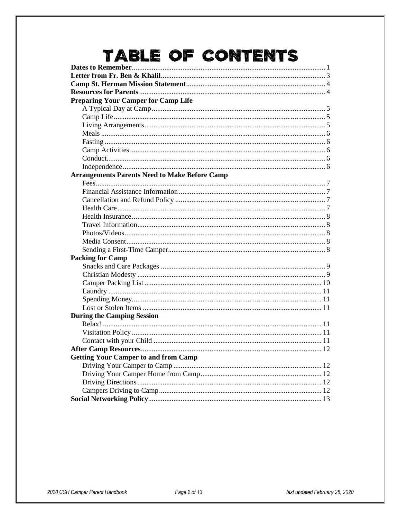# TABLE OF CONTENTS

| <b>Preparing Your Camper for Camp Life</b>           |  |
|------------------------------------------------------|--|
|                                                      |  |
|                                                      |  |
|                                                      |  |
|                                                      |  |
|                                                      |  |
|                                                      |  |
|                                                      |  |
|                                                      |  |
| <b>Arrangements Parents Need to Make Before Camp</b> |  |
|                                                      |  |
|                                                      |  |
|                                                      |  |
|                                                      |  |
|                                                      |  |
|                                                      |  |
|                                                      |  |
|                                                      |  |
|                                                      |  |
| <b>Packing for Camp</b>                              |  |
|                                                      |  |
|                                                      |  |
|                                                      |  |
|                                                      |  |
|                                                      |  |
|                                                      |  |
| <b>During the Camping Session</b>                    |  |
|                                                      |  |
|                                                      |  |
|                                                      |  |
|                                                      |  |
| <b>Getting Your Camper to and from Camp</b>          |  |
|                                                      |  |
|                                                      |  |
|                                                      |  |
|                                                      |  |
|                                                      |  |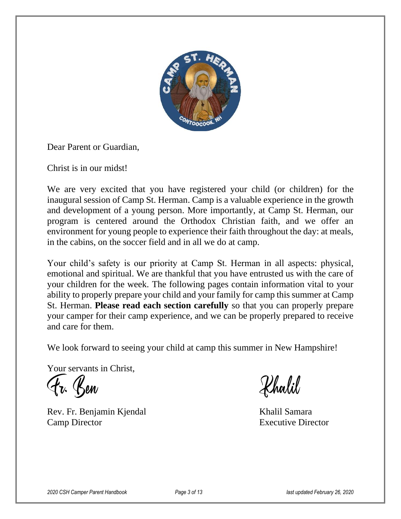

Dear Parent or Guardian,

Christ is in our midst!

We are very excited that you have registered your child (or children) for the inaugural session of Camp St. Herman. Camp is a valuable experience in the growth and development of a young person. More importantly, at Camp St. Herman, our program is centered around the Orthodox Christian faith, and we offer an environment for young people to experience their faith throughout the day: at meals, in the cabins, on the soccer field and in all we do at camp.

Your child's safety is our priority at Camp St. Herman in all aspects: physical, emotional and spiritual. We are thankful that you have entrusted us with the care of your children for the week. The following pages contain information vital to your ability to properly prepare your child and your family for camp this summer at Camp St. Herman. **Please read each section carefully** so that you can properly prepare your camper for their camp experience, and we can be properly prepared to receive and care for them.

We look forward to seeing your child at camp this summer in New Hampshire!

Your servants in Christ,

Fr. Ben

Rev. Fr. Benjamin Kjendal Khalil Samara Camp Director Executive Director

Khalil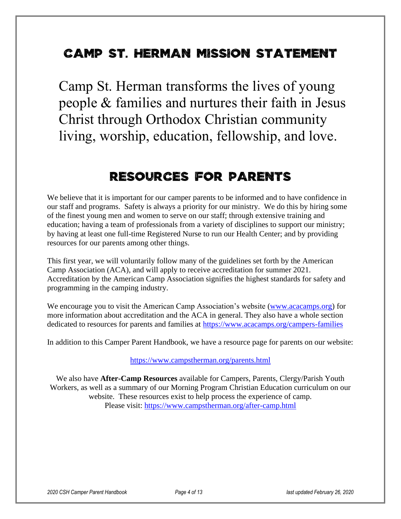### **Camp St. Herman Mission Statement**

Camp St. Herman transforms the lives of young people & families and nurtures their faith in Jesus Christ through Orthodox Christian community living, worship, education, fellowship, and love.

### **Resources for Parents**

We believe that it is important for our camper parents to be informed and to have confidence in our staff and programs. Safety is always a priority for our ministry. We do this by hiring some of the finest young men and women to serve on our staff; through extensive training and education; having a team of professionals from a variety of disciplines to support our ministry; by having at least one full-time Registered Nurse to run our Health Center; and by providing resources for our parents among other things.

This first year, we will voluntarily follow many of the guidelines set forth by the American Camp Association (ACA), and will apply to receive accreditation for summer 2021. Accreditation by the American Camp Association signifies the highest standards for safety and programming in the camping industry.

We encourage you to visit the American Camp Association's website [\(www.acacamps.org\)](http://www.acacamps.org/) for more information about accreditation and the ACA in general. They also have a whole section dedicated to resources for parents and families at<https://www.acacamps.org/campers-families>

In addition to this Camper Parent Handbook, we have a resource page for parents on our website:

<https://www.campstherman.org/parents.html>

We also have **After-Camp Resources** available for Campers, Parents, Clergy/Parish Youth Workers, as well as a summary of our Morning Program Christian Education curriculum on our website. These resources exist to help process the experience of camp. Please visit:<https://www.campstherman.org/after-camp.html>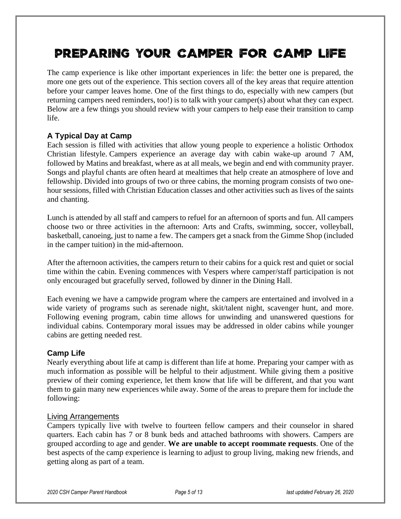## **Preparing Your Camper for Camp Life**

The camp experience is like other important experiences in life: the better one is prepared, the more one gets out of the experience. This section covers all of the key areas that require attention before your camper leaves home. One of the first things to do, especially with new campers (but returning campers need reminders, too!) is to talk with your camper(s) about what they can expect. Below are a few things you should review with your campers to help ease their transition to camp life.

#### **A Typical Day at Camp**

Each session is filled with activities that allow young people to experience a holistic Orthodox Christian lifestyle. Campers experience an average day with cabin wake-up around 7 AM, followed by Matins and breakfast, where as at all meals, we begin and end with community prayer. Songs and playful chants are often heard at mealtimes that help create an atmosphere of love and fellowship. Divided into groups of two or three cabins, the morning program consists of two onehour sessions, filled with Christian Education classes and other activities such as lives of the saints and chanting.

Lunch is attended by all staff and campers to refuel for an afternoon of sports and fun. All campers choose two or three activities in the afternoon: Arts and Crafts, swimming, soccer, volleyball, basketball, canoeing, just to name a few. The campers get a snack from the Gimme Shop (included in the camper tuition) in the mid-afternoon.

After the afternoon activities, the campers return to their cabins for a quick rest and quiet or social time within the cabin. Evening commences with Vespers where camper/staff participation is not only encouraged but gracefully served, followed by dinner in the Dining Hall.

Each evening we have a campwide program where the campers are entertained and involved in a wide variety of programs such as serenade night, skit/talent night, scavenger hunt, and more. Following evening program, cabin time allows for unwinding and unanswered questions for individual cabins. Contemporary moral issues may be addressed in older cabins while younger cabins are getting needed rest.

#### **Camp Life**

Nearly everything about life at camp is different than life at home. Preparing your camper with as much information as possible will be helpful to their adjustment. While giving them a positive preview of their coming experience, let them know that life will be different, and that you want them to gain many new experiences while away. Some of the areas to prepare them for include the following:

#### Living Arrangements

Campers typically live with twelve to fourteen fellow campers and their counselor in shared quarters. Each cabin has 7 or 8 bunk beds and attached bathrooms with showers. Campers are grouped according to age and gender. **We are unable to accept roommate requests**. One of the best aspects of the camp experience is learning to adjust to group living, making new friends, and getting along as part of a team.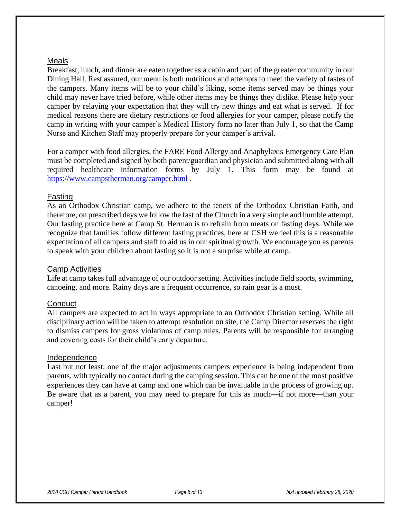#### Meals

Breakfast, lunch, and dinner are eaten together as a cabin and part of the greater community in our Dining Hall. Rest assured, our menu is both nutritious and attempts to meet the variety of tastes of the campers. Many items will be to your child's liking, some items served may be things your child may never have tried before, while other items may be things they dislike. Please help your camper by relaying your expectation that they will try new things and eat what is served. If for medical reasons there are dietary restrictions or food allergies for your camper, please notify the camp in writing with your camper's Medical History form no later than July 1, so that the Camp Nurse and Kitchen Staff may properly prepare for your camper's arrival.

For a camper with food allergies, the FARE Food Allergy and Anaphylaxis Emergency Care Plan must be completed and signed by both parent/guardian and physician and submitted along with all required healthcare information forms by July 1. This form may be found at <https://www.campstherman.org/camper.html> .

#### Fasting

As an Orthodox Christian camp, we adhere to the tenets of the Orthodox Christian Faith, and therefore, on prescribed days we follow the fast of the Church in a very simple and humble attempt. Our fasting practice here at Camp St. Herman is to refrain from meats on fasting days. While we recognize that families follow different fasting practices, here at CSH we feel this is a reasonable expectation of all campers and staff to aid us in our spiritual growth. We encourage you as parents to speak with your children about fasting so it is not a surprise while at camp.

#### Camp Activities

Life at camp takes full advantage of our outdoor setting. Activities include field sports, swimming, canoeing, and more. Rainy days are a frequent occurrence, so rain gear is a must.

#### **Conduct**

All campers are expected to act in ways appropriate to an Orthodox Christian setting. While all disciplinary action will be taken to attempt resolution on site, the Camp Director reserves the right to dismiss campers for gross violations of camp rules. Parents will be responsible for arranging and covering costs for their child's early departure.

#### Independence

Last but not least, one of the major adjustments campers experience is being independent from parents, with typically no contact during the camping session. This can be one of the most positive experiences they can have at camp and one which can be invaluable in the process of growing up. Be aware that as a parent, you may need to prepare for this as much—if not more—than your camper!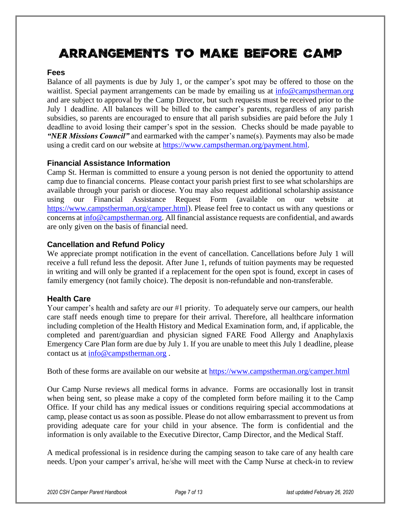# **Arrangements to Make Before Camp**

#### **Fees**

Balance of all payments is due by July 1, or the camper's spot may be offered to those on the waitlist. Special payment arrangements can be made by emailing us at [info@campstherman.org](mailto:info@campstherman.org) and are subject to approval by the Camp Director, but such requests must be received prior to the July 1 deadline. All balances will be billed to the camper's parents, regardless of any parish subsidies, so parents are encouraged to ensure that all parish subsidies are paid before the July 1 deadline to avoid losing their camper's spot in the session. Checks should be made payable to *"NER Missions Council"* and earmarked with the camper's name(s). Payments may also be made using a credit card on our website at [https://www.campstherman.org/payment.html.](https://www.campstherman.org/payment.html)

#### **Financial Assistance Information**

Camp St. Herman is committed to ensure a young person is not denied the opportunity to attend camp due to financial concerns. Please contact your parish priest first to see what scholarships are available through your parish or diocese. You may also request additional scholarship assistance using our Financial Assistance Request Form (available on our website at [https://www.campstherman.org/camper.html\)](https://www.campstherman.org/camper.html). Please feel free to contact us with any questions or concerns at [info@campstherman.org.](mailto:info@campstherman.org) All financial assistance requests are confidential, and awards are only given on the basis of financial need.

#### **Cancellation and Refund Policy**

We appreciate prompt notification in the event of cancellation. Cancellations before July 1 will receive a full refund less the deposit. After June 1, refunds of tuition payments may be requested in writing and will only be granted if a replacement for the open spot is found, except in cases of family emergency (not family choice). The deposit is non-refundable and non-transferable.

#### **Health Care**

Your camper's health and safety are our #1 priority. To adequately serve our campers, our health care staff needs enough time to prepare for their arrival. Therefore, all healthcare information including completion of the Health History and Medical Examination form, and, if applicable, the completed and parent/guardian and physician signed FARE Food Allergy and Anaphylaxis Emergency Care Plan form are due by July 1. If you are unable to meet this July 1 deadline, please contact us at  $info@campsherman.org$ .

Both of these forms are available on our website at<https://www.campstherman.org/camper.html>

Our Camp Nurse reviews all medical forms in advance. Forms are occasionally lost in transit when being sent, so please make a copy of the completed form before mailing it to the Camp Office. If your child has any medical issues or conditions requiring special accommodations at camp, please contact us as soon as possible. Please do not allow embarrassment to prevent us from providing adequate care for your child in your absence. The form is confidential and the information is only available to the Executive Director, Camp Director, and the Medical Staff.

A medical professional is in residence during the camping season to take care of any health care needs. Upon your camper's arrival, he/she will meet with the Camp Nurse at check-in to review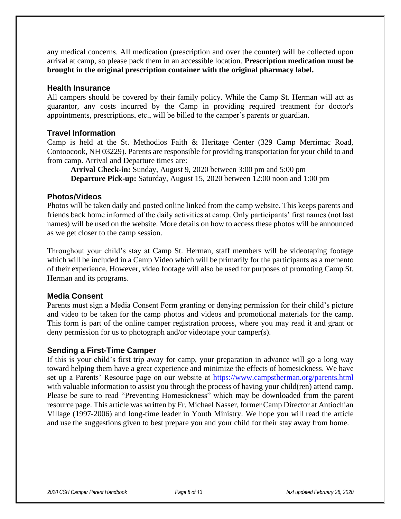any medical concerns. All medication (prescription and over the counter) will be collected upon arrival at camp, so please pack them in an accessible location. **Prescription medication must be brought in the original prescription container with the original pharmacy label.**

#### **Health Insurance**

All campers should be covered by their family policy. While the Camp St. Herman will act as guarantor, any costs incurred by the Camp in providing required treatment for doctor's appointments, prescriptions, etc., will be billed to the camper's parents or guardian.

#### **Travel Information**

Camp is held at the St. Methodios Faith & Heritage Center (329 Camp Merrimac Road, Contoocook, NH 03229). Parents are responsible for providing transportation for your child to and from camp. Arrival and Departure times are:

**Arrival Check-in:** Sunday, August 9, 2020 between 3:00 pm and 5:00 pm **Departure Pick-up:** Saturday, August 15, 2020 between 12:00 noon and 1:00 pm

#### **Photos/Videos**

Photos will be taken daily and posted online linked from the camp website. This keeps parents and friends back home informed of the daily activities at camp. Only participants' first names (not last names) will be used on the website. More details on how to access these photos will be announced as we get closer to the camp session.

Throughout your child's stay at Camp St. Herman, staff members will be videotaping footage which will be included in a Camp Video which will be primarily for the participants as a memento of their experience. However, video footage will also be used for purposes of promoting Camp St. Herman and its programs.

#### **Media Consent**

Parents must sign a Media Consent Form granting or denying permission for their child's picture and video to be taken for the camp photos and videos and promotional materials for the camp. This form is part of the online camper registration process, where you may read it and grant or deny permission for us to photograph and/or videotape your camper(s).

#### **Sending a First-Time Camper**

If this is your child's first trip away for camp, your preparation in advance will go a long way toward helping them have a great experience and minimize the effects of homesickness. We have set up a Parents' Resource page on our website at<https://www.campstherman.org/parents.html> with valuable information to assist you through the process of having your child(ren) attend camp. Please be sure to read "Preventing Homesickness" which may be downloaded from the parent resource page. This article was written by Fr. Michael Nasser, former Camp Director at Antiochian Village (1997-2006) and long-time leader in Youth Ministry. We hope you will read the article and use the suggestions given to best prepare you and your child for their stay away from home.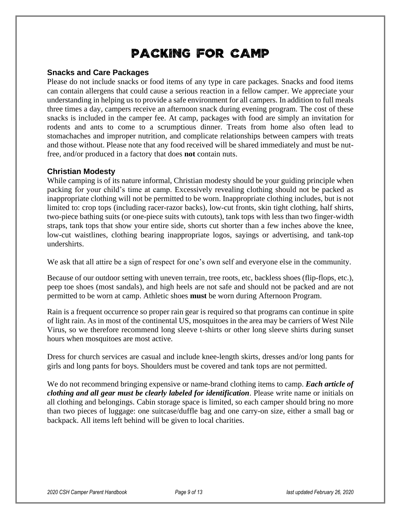## **Packing for Camp**

#### **Snacks and Care Packages**

Please do not include snacks or food items of any type in care packages. Snacks and food items can contain allergens that could cause a serious reaction in a fellow camper. We appreciate your understanding in helping us to provide a safe environment for all campers. In addition to full meals three times a day, campers receive an afternoon snack during evening program. The cost of these snacks is included in the camper fee. At camp, packages with food are simply an invitation for rodents and ants to come to a scrumptious dinner. Treats from home also often lead to stomachaches and improper nutrition, and complicate relationships between campers with treats and those without. Please note that any food received will be shared immediately and must be nutfree, and/or produced in a factory that does **not** contain nuts.

#### **Christian Modesty**

While camping is of its nature informal, Christian modesty should be your guiding principle when packing for your child's time at camp. Excessively revealing clothing should not be packed as inappropriate clothing will not be permitted to be worn. Inappropriate clothing includes, but is not limited to: crop tops (including racer-razor backs), low-cut fronts, skin tight clothing, half shirts, two-piece bathing suits (or one-piece suits with cutouts), tank tops with less than two finger-width straps, tank tops that show your entire side, shorts cut shorter than a few inches above the knee, low-cut waistlines, clothing bearing inappropriate logos, sayings or advertising, and tank-top undershirts.

We ask that all attire be a sign of respect for one's own self and everyone else in the community.

Because of our outdoor setting with uneven terrain, tree roots, etc, backless shoes (flip-flops, etc.), peep toe shoes (most sandals), and high heels are not safe and should not be packed and are not permitted to be worn at camp. Athletic shoes **must** be worn during Afternoon Program.

Rain is a frequent occurrence so proper rain gear is required so that programs can continue in spite of light rain. As in most of the continental US, mosquitoes in the area may be carriers of West Nile Virus, so we therefore recommend long sleeve t-shirts or other long sleeve shirts during sunset hours when mosquitoes are most active.

Dress for church services are casual and include knee-length skirts, dresses and/or long pants for girls and long pants for boys. Shoulders must be covered and tank tops are not permitted.

We do not recommend bringing expensive or name-brand clothing items to camp. *Each article of clothing and all gear must be clearly labeled for identification*. Please write name or initials on all clothing and belongings. Cabin storage space is limited, so each camper should bring no more than two pieces of luggage: one suitcase/duffle bag and one carry-on size, either a small bag or backpack. All items left behind will be given to local charities.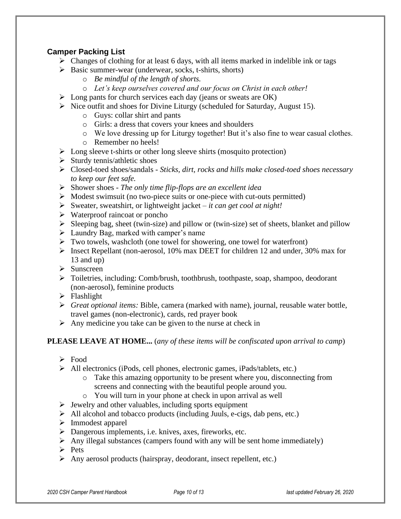#### **Camper Packing List**

- $\triangleright$  Changes of clothing for at least 6 days, with all items marked in indelible ink or tags
- ➢ Basic summer-wear (underwear, socks, t-shirts, shorts)
	- o *Be mindful of the length of shorts.*
	- o *Let's keep ourselves covered and our focus on Christ in each other!*
- $\triangleright$  Long pants for church services each day (jeans or sweats are OK)
- ➢ Nice outfit and shoes for Divine Liturgy (scheduled for Saturday, August 15).
	- o Guys: collar shirt and pants
	- o Girls: a dress that covers your knees and shoulders
	- o We love dressing up for Liturgy together! But it's also fine to wear casual clothes.
	- o Remember no heels!
- ➢ Long sleeve t-shirts or other long sleeve shirts (mosquito protection)
- $\triangleright$  Sturdy tennis/athletic shoes
- ➢ Closed-toed shoes/sandals *Sticks, dirt, rocks and hills make closed-toed shoes necessary to keep our feet safe.*
- ➢ Shower shoes *The only time flip-flops are an excellent idea*
- $\triangleright$  Modest swimsuit (no two-piece suits or one-piece with cut-outs permitted)
- ➢ Sweater, sweatshirt, or lightweight jacket *it can get cool at night!*
- ➢ Waterproof raincoat or poncho
- $\triangleright$  Sleeping bag, sheet (twin-size) and pillow or (twin-size) set of sheets, blanket and pillow
- ➢ Laundry Bag, marked with camper's name
- ➢ Two towels, washcloth (one towel for showering, one towel for waterfront)
- ➢ Insect Repellant (non-aerosol, 10% max DEET for children 12 and under, 30% max for 13 and up)
- ➢ Sunscreen
- ➢ Toiletries, including: Comb/brush, toothbrush, toothpaste, soap, shampoo, deodorant (non-aerosol), feminine products
- ➢ Flashlight
- ➢ *Great optional items:* Bible, camera (marked with name), journal, reusable water bottle, travel games (non-electronic), cards, red prayer book
- $\triangleright$  Any medicine you take can be given to the nurse at check in

#### **PLEASE LEAVE AT HOME...** (*any of these items will be confiscated upon arrival to camp*)

- ➢ Food
- ➢ All electronics (iPods, cell phones, electronic games, iPads/tablets, etc.)
	- o Take this amazing opportunity to be present where you, disconnecting from screens and connecting with the beautiful people around you.
	- o You will turn in your phone at check in upon arrival as well
- ➢ Jewelry and other valuables, including sports equipment
- ➢ All alcohol and tobacco products (including Juuls, e-cigs, dab pens, etc.)
- ➢ Immodest apparel
- ➢ Dangerous implements, i.e. knives, axes, fireworks, etc.
- $\triangleright$  Any illegal substances (campers found with any will be sent home immediately)
- ➢ Pets
- ➢ Any aerosol products (hairspray, deodorant, insect repellent, etc.)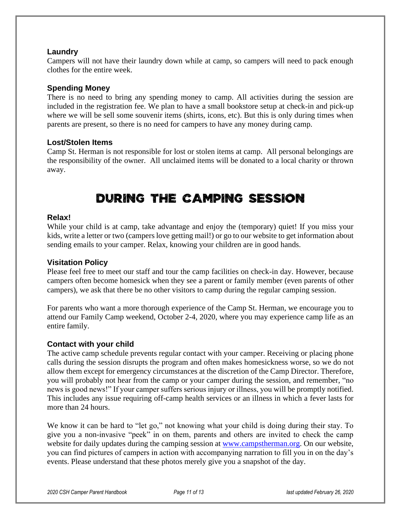#### **Laundry**

Campers will not have their laundry down while at camp, so campers will need to pack enough clothes for the entire week.

#### **Spending Money**

There is no need to bring any spending money to camp. All activities during the session are included in the registration fee. We plan to have a small bookstore setup at check-in and pick-up where we will be sell some souvenir items (shirts, icons, etc). But this is only during times when parents are present, so there is no need for campers to have any money during camp.

#### **Lost/Stolen Items**

Camp St. Herman is not responsible for lost or stolen items at camp. All personal belongings are the responsibility of the owner. All unclaimed items will be donated to a local charity or thrown away.

### **During the Camping Session**

#### **Relax!**

While your child is at camp, take advantage and enjoy the (temporary) quiet! If you miss your kids, write a letter or two (campers love getting mail!) or go to our website to get information about sending emails to your camper. Relax, knowing your children are in good hands.

#### **Visitation Policy**

Please feel free to meet our staff and tour the camp facilities on check-in day. However, because campers often become homesick when they see a parent or family member (even parents of other campers), we ask that there be no other visitors to camp during the regular camping session.

For parents who want a more thorough experience of the Camp St. Herman, we encourage you to attend our Family Camp weekend, October 2-4, 2020, where you may experience camp life as an entire family.

#### **Contact with your child**

The active camp schedule prevents regular contact with your camper. Receiving or placing phone calls during the session disrupts the program and often makes homesickness worse, so we do not allow them except for emergency circumstances at the discretion of the Camp Director. Therefore, you will probably not hear from the camp or your camper during the session, and remember, "no news is good news!" If your camper suffers serious injury or illness, you will be promptly notified. This includes any issue requiring off-camp health services or an illness in which a fever lasts for more than 24 hours.

We know it can be hard to "let go," not knowing what your child is doing during their stay. To give you a non-invasive "peek" in on them, parents and others are invited to check the camp website for daily updates during the camping session at [www.campstherman.org.](http://www.campstherman.org/) On our website, you can find pictures of campers in action with accompanying narration to fill you in on the day's events. Please understand that these photos merely give you a snapshot of the day.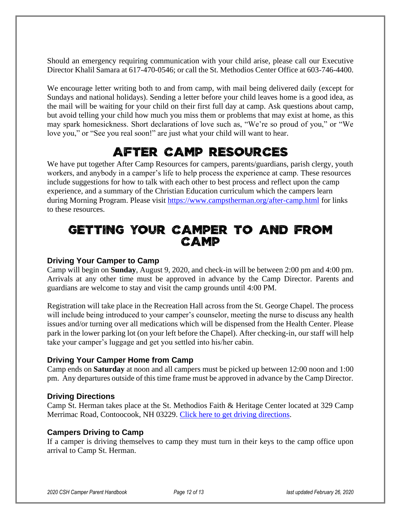Should an emergency requiring communication with your child arise, please call our Executive Director Khalil Samara at 617-470-0546; or call the St. Methodios Center Office at 603-746-4400.

We encourage letter writing both to and from camp, with mail being delivered daily (except for Sundays and national holidays). Sending a letter before your child leaves home is a good idea, as the mail will be waiting for your child on their first full day at camp. Ask questions about camp, but avoid telling your child how much you miss them or problems that may exist at home, as this may spark homesickness. Short declarations of love such as, "We're so proud of you," or "We love you," or "See you real soon!" are just what your child will want to hear.

### **After Camp Resources**

We have put together After Camp Resources for campers, parents/guardians, parish clergy, youth workers, and anybody in a camper's life to help process the experience at camp. These resources include suggestions for how to talk with each other to best process and reflect upon the camp experience, and a summary of the Christian Education curriculum which the campers learn during Morning Program. Please visit<https://www.campstherman.org/after-camp.html> for links to these resources.

### **Getting Your Camper to and from Camp**

#### **Driving Your Camper to Camp**

Camp will begin on **Sunday**, August 9, 2020, and check-in will be between 2:00 pm and 4:00 pm. Arrivals at any other time must be approved in advance by the Camp Director. Parents and guardians are welcome to stay and visit the camp grounds until 4:00 PM.

Registration will take place in the Recreation Hall across from the St. George Chapel. The process will include being introduced to your camper's counselor, meeting the nurse to discuss any health issues and/or turning over all medications which will be dispensed from the Health Center. Please park in the lower parking lot (on your left before the Chapel). After checking-in, our staff will help take your camper's luggage and get you settled into his/her cabin.

#### **Driving Your Camper Home from Camp**

Camp ends on **Saturday** at noon and all campers must be picked up between 12:00 noon and 1:00 pm. Any departures outside of this time frame must be approved in advance by the Camp Director.

#### **Driving Directions**

Camp St. Herman takes place at the St. Methodios Faith & Heritage Center located at 329 Camp Merrimac Road, Contoocook, NH 03229. [Click here to get driving directions.](https://goo.gl/maps/AHLghefLuXGjpUSx9)

#### **Campers Driving to Camp**

If a camper is driving themselves to camp they must turn in their keys to the camp office upon arrival to Camp St. Herman.